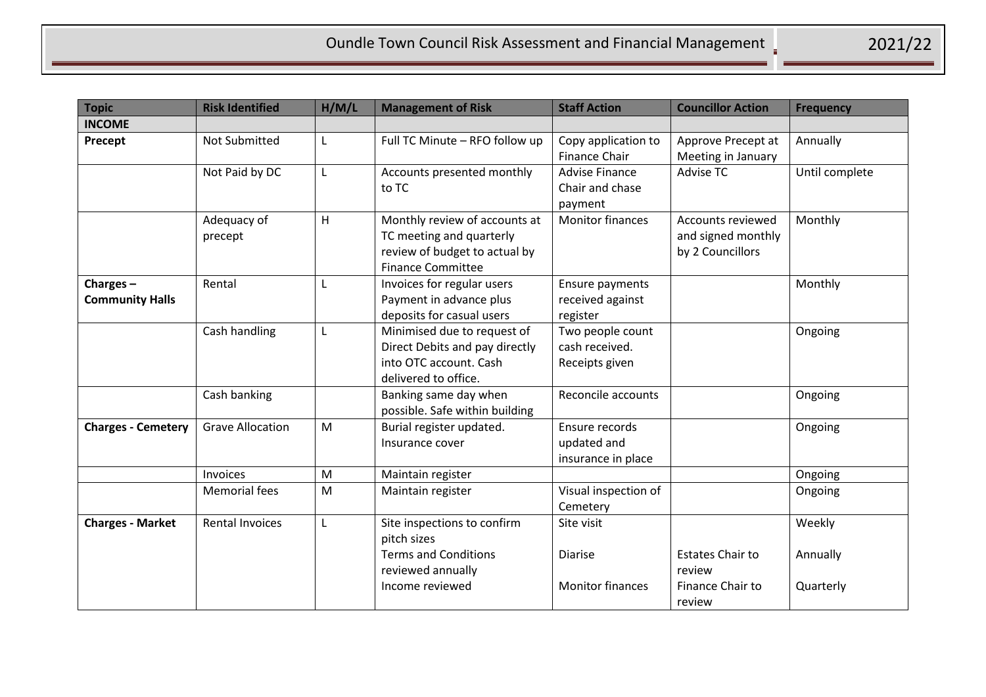| <b>Topic</b>                       | <b>Risk Identified</b>  | H/M/L | <b>Management of Risk</b>                                                                                              | <b>Staff Action</b>                                     | <b>Councillor Action</b>                                        | <b>Frequency</b>                |
|------------------------------------|-------------------------|-------|------------------------------------------------------------------------------------------------------------------------|---------------------------------------------------------|-----------------------------------------------------------------|---------------------------------|
| <b>INCOME</b>                      |                         |       |                                                                                                                        |                                                         |                                                                 |                                 |
| Precept                            | <b>Not Submitted</b>    | L     | Full TC Minute - RFO follow up                                                                                         | Copy application to<br>Finance Chair                    | Approve Precept at<br>Meeting in January                        | Annually                        |
|                                    | Not Paid by DC          | L     | Accounts presented monthly<br>to TC                                                                                    | <b>Advise Finance</b><br>Chair and chase<br>payment     | Advise TC                                                       | Until complete                  |
|                                    | Adequacy of<br>precept  | H     | Monthly review of accounts at<br>TC meeting and quarterly<br>review of budget to actual by<br><b>Finance Committee</b> | <b>Monitor finances</b>                                 | Accounts reviewed<br>and signed monthly<br>by 2 Councillors     | Monthly                         |
| Charges-<br><b>Community Halls</b> | Rental                  | L     | Invoices for regular users<br>Payment in advance plus<br>deposits for casual users                                     | Ensure payments<br>received against<br>register         |                                                                 | Monthly                         |
|                                    | Cash handling           | L     | Minimised due to request of<br>Direct Debits and pay directly<br>into OTC account. Cash<br>delivered to office.        | Two people count<br>cash received.<br>Receipts given    |                                                                 | Ongoing                         |
|                                    | Cash banking            |       | Banking same day when<br>possible. Safe within building                                                                | Reconcile accounts                                      |                                                                 | Ongoing                         |
| <b>Charges - Cemetery</b>          | <b>Grave Allocation</b> | M     | Burial register updated.<br>Insurance cover                                                                            | Ensure records<br>updated and<br>insurance in place     |                                                                 | Ongoing                         |
|                                    | Invoices                | M     | Maintain register                                                                                                      |                                                         |                                                                 | Ongoing                         |
|                                    | <b>Memorial fees</b>    | M     | Maintain register                                                                                                      | Visual inspection of<br>Cemetery                        |                                                                 | Ongoing                         |
| <b>Charges - Market</b>            | <b>Rental Invoices</b>  | L     | Site inspections to confirm<br>pitch sizes<br><b>Terms and Conditions</b><br>reviewed annually<br>Income reviewed      | Site visit<br><b>Diarise</b><br><b>Monitor finances</b> | <b>Estates Chair to</b><br>review<br>Finance Chair to<br>review | Weekly<br>Annually<br>Quarterly |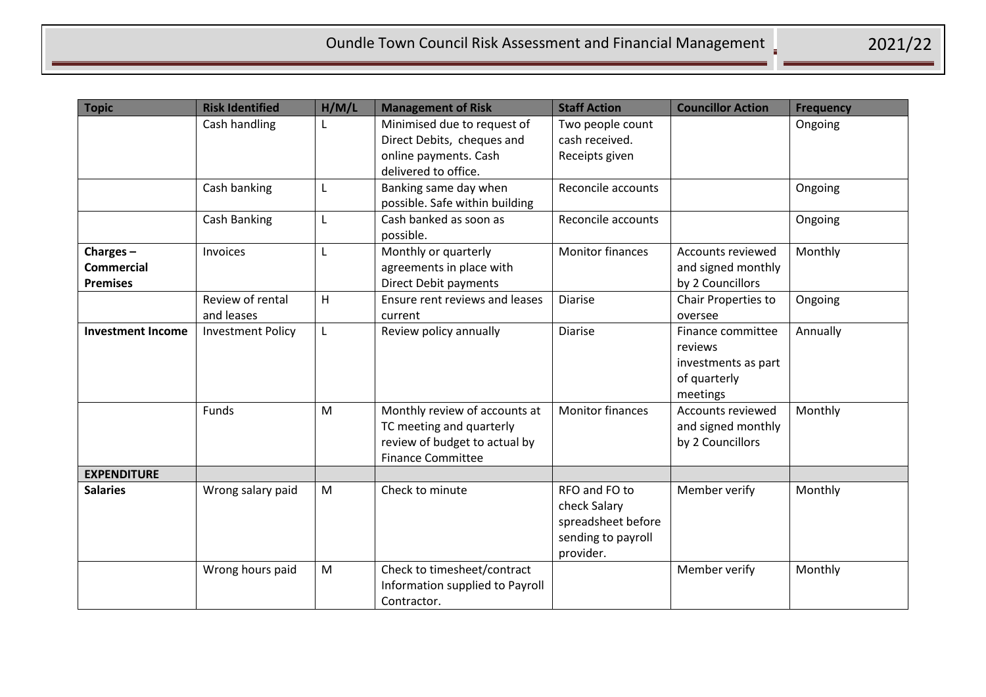| <b>Topic</b>                                        | <b>Risk Identified</b>         | H/M/L | <b>Management of Risk</b>                                                                                              | <b>Staff Action</b>                                                                    | <b>Councillor Action</b>                                                        | <b>Frequency</b> |
|-----------------------------------------------------|--------------------------------|-------|------------------------------------------------------------------------------------------------------------------------|----------------------------------------------------------------------------------------|---------------------------------------------------------------------------------|------------------|
|                                                     | Cash handling                  |       | Minimised due to request of<br>Direct Debits, cheques and<br>online payments. Cash<br>delivered to office.             | Two people count<br>cash received.<br>Receipts given                                   |                                                                                 | Ongoing          |
|                                                     | Cash banking                   | L     | Banking same day when<br>possible. Safe within building                                                                | Reconcile accounts                                                                     |                                                                                 | Ongoing          |
|                                                     | Cash Banking                   | L     | Cash banked as soon as<br>possible.                                                                                    | Reconcile accounts                                                                     |                                                                                 | Ongoing          |
| Charges $-$<br><b>Commercial</b><br><b>Premises</b> | Invoices                       | L     | Monthly or quarterly<br>agreements in place with<br><b>Direct Debit payments</b>                                       | <b>Monitor finances</b>                                                                | Accounts reviewed<br>and signed monthly<br>by 2 Councillors                     | Monthly          |
|                                                     | Review of rental<br>and leases | H     | Ensure rent reviews and leases<br>current                                                                              | <b>Diarise</b>                                                                         | Chair Properties to<br>oversee                                                  | Ongoing          |
| <b>Investment Income</b>                            | <b>Investment Policy</b>       | L     | Review policy annually                                                                                                 | <b>Diarise</b>                                                                         | Finance committee<br>reviews<br>investments as part<br>of quarterly<br>meetings | Annually         |
|                                                     | <b>Funds</b>                   | M     | Monthly review of accounts at<br>TC meeting and quarterly<br>review of budget to actual by<br><b>Finance Committee</b> | <b>Monitor finances</b>                                                                | <b>Accounts reviewed</b><br>and signed monthly<br>by 2 Councillors              | Monthly          |
| <b>EXPENDITURE</b>                                  |                                |       |                                                                                                                        |                                                                                        |                                                                                 |                  |
| <b>Salaries</b>                                     | Wrong salary paid              | M     | Check to minute                                                                                                        | RFO and FO to<br>check Salary<br>spreadsheet before<br>sending to payroll<br>provider. | Member verify                                                                   | Monthly          |
|                                                     | Wrong hours paid               | M     | Check to timesheet/contract<br>Information supplied to Payroll<br>Contractor.                                          |                                                                                        | Member verify                                                                   | Monthly          |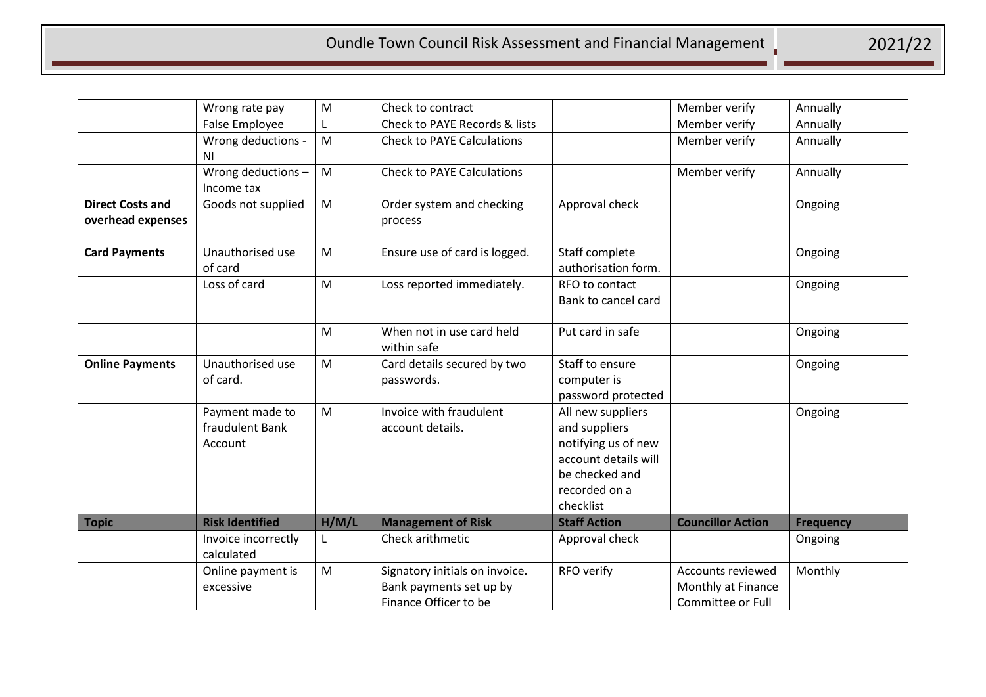|                                              | Wrong rate pay                                | M     | Check to contract                                                                  |                                                                                                                                   | Member verify                                                       | Annually         |
|----------------------------------------------|-----------------------------------------------|-------|------------------------------------------------------------------------------------|-----------------------------------------------------------------------------------------------------------------------------------|---------------------------------------------------------------------|------------------|
|                                              | False Employee                                |       | Check to PAYE Records & lists                                                      |                                                                                                                                   | Member verify                                                       | Annually         |
|                                              | Wrong deductions -<br>N <sub>1</sub>          | M     | <b>Check to PAYE Calculations</b>                                                  |                                                                                                                                   | Member verify                                                       | Annually         |
|                                              | Wrong deductions-<br>Income tax               | M     | <b>Check to PAYE Calculations</b>                                                  |                                                                                                                                   | Member verify                                                       | Annually         |
| <b>Direct Costs and</b><br>overhead expenses | Goods not supplied                            | M     | Order system and checking<br>process                                               | Approval check                                                                                                                    |                                                                     | Ongoing          |
| <b>Card Payments</b>                         | Unauthorised use<br>of card                   | M     | Ensure use of card is logged.                                                      | Staff complete<br>authorisation form.                                                                                             |                                                                     | Ongoing          |
|                                              | Loss of card                                  | M     | Loss reported immediately.                                                         | RFO to contact<br>Bank to cancel card                                                                                             |                                                                     | Ongoing          |
|                                              |                                               | M     | When not in use card held<br>within safe                                           | Put card in safe                                                                                                                  |                                                                     | Ongoing          |
| <b>Online Payments</b>                       | Unauthorised use<br>of card.                  | M     | Card details secured by two<br>passwords.                                          | Staff to ensure<br>computer is<br>password protected                                                                              |                                                                     | Ongoing          |
|                                              | Payment made to<br>fraudulent Bank<br>Account | M     | Invoice with fraudulent<br>account details.                                        | All new suppliers<br>and suppliers<br>notifying us of new<br>account details will<br>be checked and<br>recorded on a<br>checklist |                                                                     | Ongoing          |
| <b>Topic</b>                                 | <b>Risk Identified</b>                        | H/M/L | <b>Management of Risk</b>                                                          | <b>Staff Action</b>                                                                                                               | <b>Councillor Action</b>                                            | <b>Frequency</b> |
|                                              | Invoice incorrectly<br>calculated             | L     | Check arithmetic                                                                   | Approval check                                                                                                                    |                                                                     | Ongoing          |
|                                              | Online payment is<br>excessive                | M     | Signatory initials on invoice.<br>Bank payments set up by<br>Finance Officer to be | RFO verify                                                                                                                        | <b>Accounts reviewed</b><br>Monthly at Finance<br>Committee or Full | Monthly          |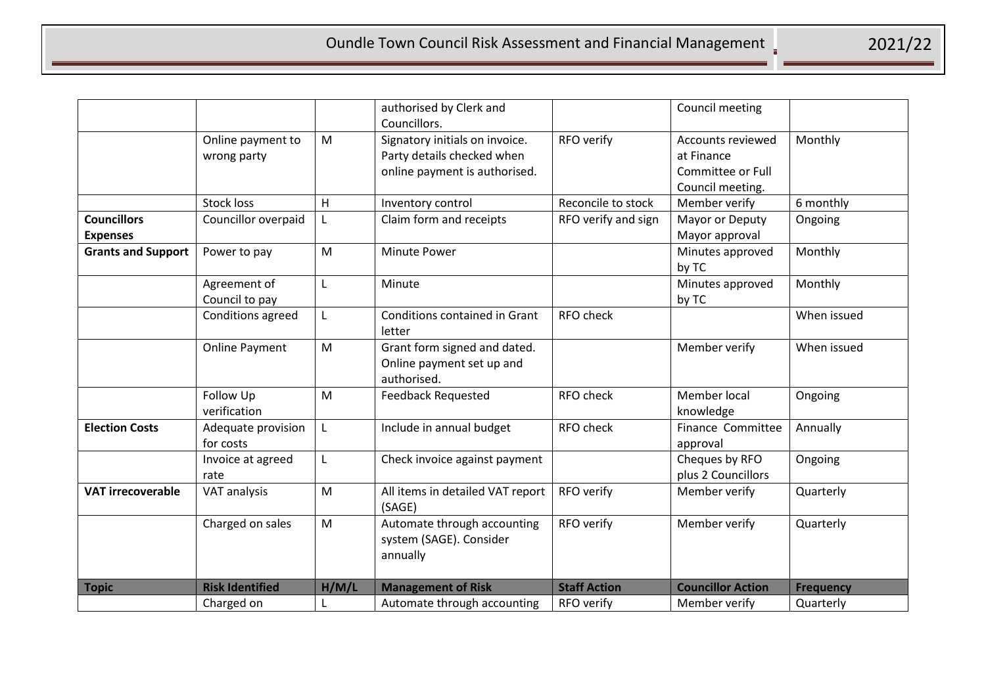|                           |                        |       | authorised by Clerk and          |                     | Council meeting          |                  |
|---------------------------|------------------------|-------|----------------------------------|---------------------|--------------------------|------------------|
|                           |                        |       | Councillors.                     |                     |                          |                  |
|                           | Online payment to      | M     | Signatory initials on invoice.   | RFO verify          | <b>Accounts reviewed</b> | Monthly          |
|                           | wrong party            |       | Party details checked when       |                     | at Finance               |                  |
|                           |                        |       | online payment is authorised.    |                     | Committee or Full        |                  |
|                           |                        |       |                                  |                     | Council meeting.         |                  |
|                           | <b>Stock loss</b>      | H     | Inventory control                | Reconcile to stock  | Member verify            | 6 monthly        |
| <b>Councillors</b>        | Councillor overpaid    | L     | Claim form and receipts          | RFO verify and sign | Mayor or Deputy          | Ongoing          |
| <b>Expenses</b>           |                        |       |                                  |                     | Mayor approval           |                  |
| <b>Grants and Support</b> | Power to pay           | M     | <b>Minute Power</b>              |                     | Minutes approved         | Monthly          |
|                           |                        |       |                                  |                     | by TC                    |                  |
|                           | Agreement of           | L     | Minute                           |                     | Minutes approved         | Monthly          |
|                           | Council to pay         |       |                                  |                     | by TC                    |                  |
|                           | Conditions agreed      | L     | Conditions contained in Grant    | <b>RFO check</b>    |                          | When issued      |
|                           |                        |       | letter                           |                     |                          |                  |
|                           | <b>Online Payment</b>  | M     | Grant form signed and dated.     |                     | Member verify            | When issued      |
|                           |                        |       | Online payment set up and        |                     |                          |                  |
|                           |                        |       | authorised.                      |                     |                          |                  |
|                           | Follow Up              | M     | <b>Feedback Requested</b>        | <b>RFO check</b>    | Member local             | Ongoing          |
|                           | verification           |       |                                  |                     | knowledge                |                  |
| <b>Election Costs</b>     | Adequate provision     | L     | Include in annual budget         | RFO check           | Finance Committee        | Annually         |
|                           | for costs              |       |                                  |                     | approval                 |                  |
|                           | Invoice at agreed      | L     | Check invoice against payment    |                     | Cheques by RFO           | Ongoing          |
|                           | rate                   |       |                                  |                     | plus 2 Councillors       |                  |
| <b>VAT irrecoverable</b>  | VAT analysis           | M     | All items in detailed VAT report | RFO verify          | Member verify            | Quarterly        |
|                           |                        |       | (SAGE)                           |                     |                          |                  |
|                           | Charged on sales       | M     | Automate through accounting      | RFO verify          | Member verify            | Quarterly        |
|                           |                        |       | system (SAGE). Consider          |                     |                          |                  |
|                           |                        |       | annually                         |                     |                          |                  |
|                           |                        |       |                                  |                     |                          |                  |
| <b>Topic</b>              | <b>Risk Identified</b> | H/M/L | <b>Management of Risk</b>        | <b>Staff Action</b> | <b>Councillor Action</b> | <b>Frequency</b> |
|                           | Charged on             | L     | Automate through accounting      | RFO verify          | Member verify            | Quarterly        |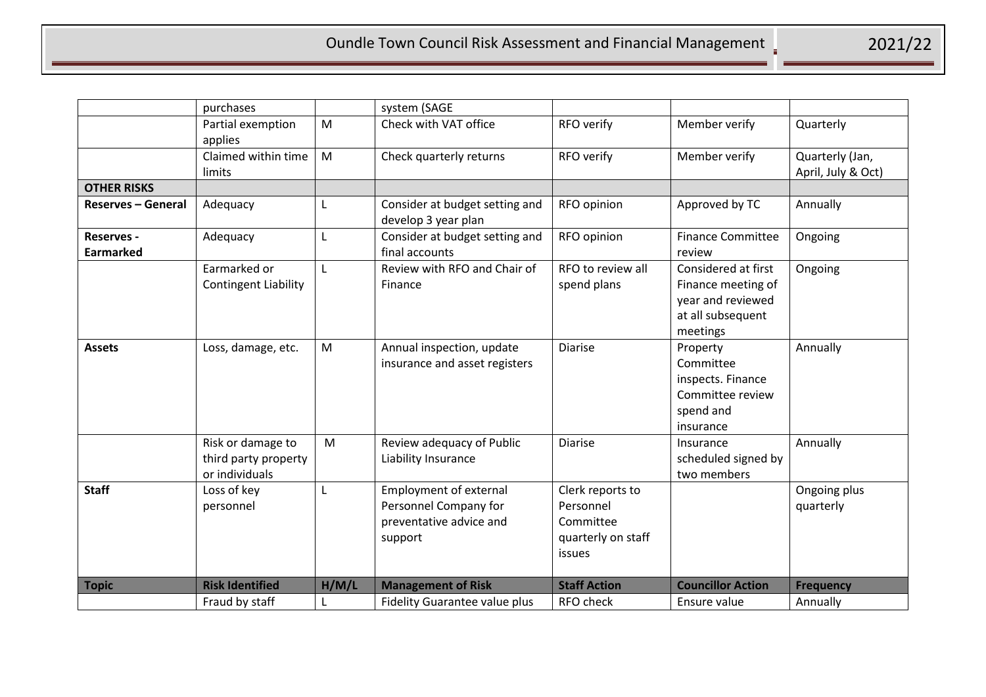|                                | purchases                                                   |       | system (SAGE                                                                                 |                                                                            |                                                                                                 |                                       |
|--------------------------------|-------------------------------------------------------------|-------|----------------------------------------------------------------------------------------------|----------------------------------------------------------------------------|-------------------------------------------------------------------------------------------------|---------------------------------------|
|                                | Partial exemption<br>applies                                | M     | Check with VAT office                                                                        | RFO verify                                                                 | Member verify                                                                                   | Quarterly                             |
|                                | Claimed within time<br>limits                               | M     | Check quarterly returns                                                                      | RFO verify                                                                 | Member verify                                                                                   | Quarterly (Jan,<br>April, July & Oct) |
| <b>OTHER RISKS</b>             |                                                             |       |                                                                                              |                                                                            |                                                                                                 |                                       |
| <b>Reserves - General</b>      | Adequacy                                                    | L     | Consider at budget setting and<br>develop 3 year plan                                        | RFO opinion                                                                | Approved by TC                                                                                  | Annually                              |
| Reserves -<br><b>Earmarked</b> | Adequacy                                                    | L     | Consider at budget setting and<br>final accounts                                             | RFO opinion                                                                | <b>Finance Committee</b><br>review                                                              | Ongoing                               |
|                                | Earmarked or<br><b>Contingent Liability</b>                 | L     | Review with RFO and Chair of<br>Finance                                                      | RFO to review all<br>spend plans                                           | Considered at first<br>Finance meeting of<br>year and reviewed<br>at all subsequent<br>meetings | Ongoing                               |
| <b>Assets</b>                  | Loss, damage, etc.                                          | M     | Annual inspection, update<br>insurance and asset registers                                   | <b>Diarise</b>                                                             | Property<br>Committee<br>inspects. Finance<br>Committee review<br>spend and<br>insurance        | Annually                              |
|                                | Risk or damage to<br>third party property<br>or individuals | M     | Review adequacy of Public<br>Liability Insurance                                             | Diarise                                                                    | Insurance<br>scheduled signed by<br>two members                                                 | Annually                              |
| <b>Staff</b>                   | Loss of key<br>personnel                                    | L     | <b>Employment of external</b><br>Personnel Company for<br>preventative advice and<br>support | Clerk reports to<br>Personnel<br>Committee<br>quarterly on staff<br>issues |                                                                                                 | Ongoing plus<br>quarterly             |
| <b>Topic</b>                   | <b>Risk Identified</b>                                      | H/M/L | <b>Management of Risk</b>                                                                    | <b>Staff Action</b>                                                        | <b>Councillor Action</b>                                                                        | <b>Frequency</b>                      |
|                                | Fraud by staff                                              | L     | <b>Fidelity Guarantee value plus</b>                                                         | RFO check                                                                  | Ensure value                                                                                    | Annually                              |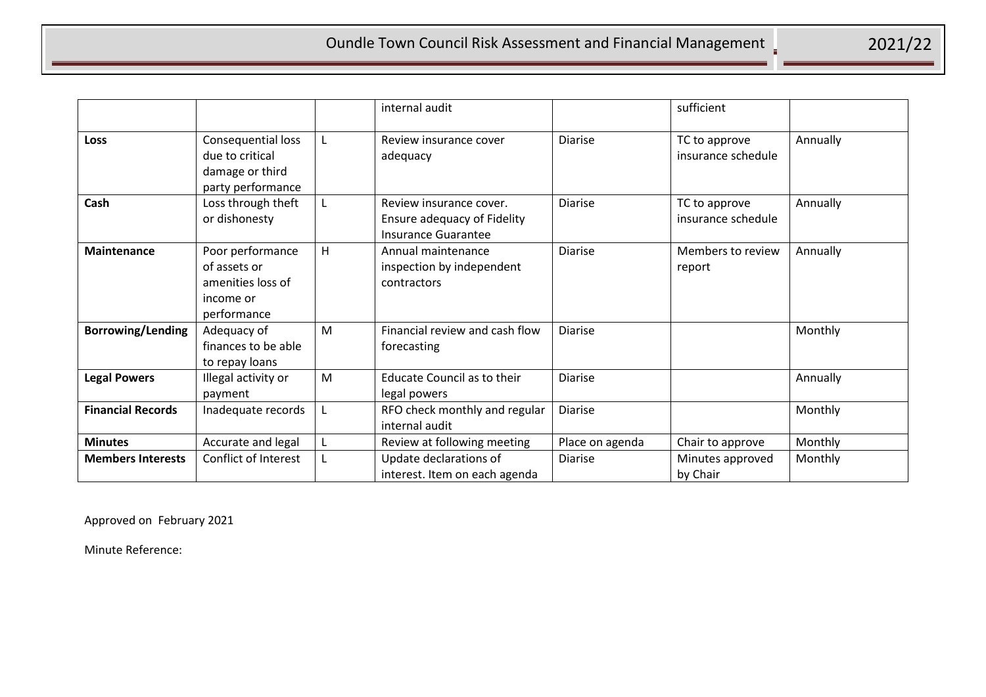|                          |                                                                                   |   | internal audit                                                                       |                 | sufficient                          |          |
|--------------------------|-----------------------------------------------------------------------------------|---|--------------------------------------------------------------------------------------|-----------------|-------------------------------------|----------|
| <b>Loss</b>              | Consequential loss<br>due to critical<br>damage or third<br>party performance     | L | Review insurance cover<br>adequacy                                                   | <b>Diarise</b>  | TC to approve<br>insurance schedule | Annually |
| Cash                     | Loss through theft<br>or dishonesty                                               |   | Review insurance cover.<br>Ensure adequacy of Fidelity<br><b>Insurance Guarantee</b> | <b>Diarise</b>  | TC to approve<br>insurance schedule | Annually |
| <b>Maintenance</b>       | Poor performance<br>of assets or<br>amenities loss of<br>income or<br>performance | H | Annual maintenance<br>inspection by independent<br>contractors                       | <b>Diarise</b>  | Members to review<br>report         | Annually |
| <b>Borrowing/Lending</b> | Adequacy of<br>finances to be able<br>to repay loans                              | M | Financial review and cash flow<br>forecasting                                        | <b>Diarise</b>  |                                     | Monthly  |
| <b>Legal Powers</b>      | Illegal activity or<br>payment                                                    | M | Educate Council as to their<br>legal powers                                          | <b>Diarise</b>  |                                     | Annually |
| <b>Financial Records</b> | Inadequate records                                                                | L | RFO check monthly and regular<br>internal audit                                      | <b>Diarise</b>  |                                     | Monthly  |
| <b>Minutes</b>           | Accurate and legal                                                                | L | Review at following meeting                                                          | Place on agenda | Chair to approve                    | Monthly  |
| <b>Members Interests</b> | Conflict of Interest                                                              |   | Update declarations of<br>interest. Item on each agenda                              | Diarise         | Minutes approved<br>by Chair        | Monthly  |

Approved on February 2021

Minute Reference: